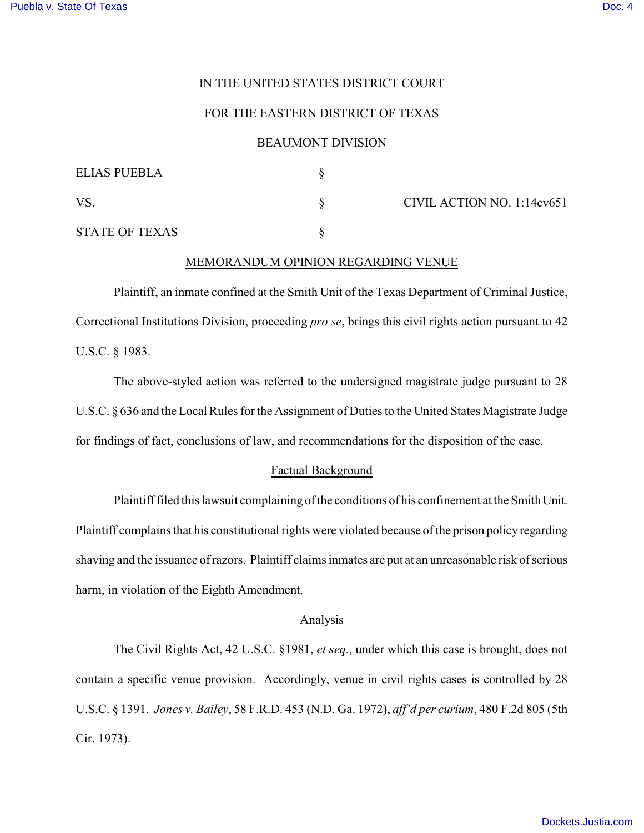# IN THE UNITED STATES DISTRICT COURT

## FOR THE EASTERN DISTRICT OF TEXAS

## BEAUMONT DIVISION

| <b>ELIAS PUEBLA</b>   |                            |
|-----------------------|----------------------------|
| <b>VS</b>             | CIVIL ACTION NO. 1:14cv651 |
| <b>STATE OF TEXAS</b> |                            |

### MEMORANDUM OPINION REGARDING VENUE

Plaintiff, an inmate confined at the Smith Unit of the Texas Department of Criminal Justice, Correctional Institutions Division, proceeding *pro se*, brings this civil rights action pursuant to 42 U.S.C. § 1983.

The above-styled action was referred to the undersigned magistrate judge pursuant to 28 U.S.C. § 636 and the Local Rules for the Assignment of Duties to the United States Magistrate Judge for findings of fact, conclusions of law, and recommendations for the disposition of the case.

#### Factual Background

Plaintiff filed this lawsuit complaining of the conditions of his confinement at the Smith Unit. Plaintiff complains that his constitutional rights were violated because of the prison policy regarding shaving and the issuance of razors. Plaintiff claims inmates are put at an unreasonable risk of serious harm, in violation of the Eighth Amendment.

## Analysis

The Civil Rights Act, 42 U.S.C. §1981, *et seq.*, under which this case is brought, does not contain a specific venue provision. Accordingly, venue in civil rights cases is controlled by 28 U.S.C. § 1391. *Jones v. Bailey*, 58 F.R.D. 453 (N.D. Ga. 1972), *aff'd per curium*, 480 F.2d 805 (5th Cir. 1973).